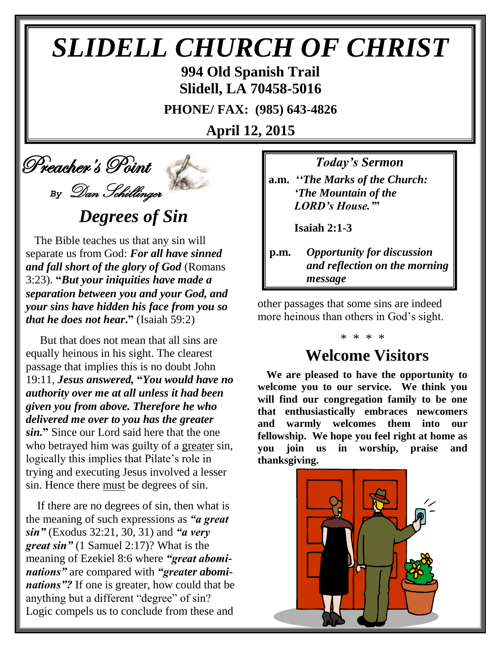# *SLIDELL CHURCH OF CHRIST*

**994 Old Spanish Trail Slidell, LA 70458-5016**

**PHONE/ FAX: (985) 643-4826**

**April 12, 2015**

# Preacher's Point *By* Dan Schillinger

# *Degrees of Sin*

 The Bible teaches us that any sin will separate us from God: *For all have sinned and fall short of the glory of God* (Romans 3:23). **"***But your iniquities have made a separation between you and your God, and your sins have hidden his face from you so that he does not hear***."** (Isaiah 59:2)

 But that does not mean that all sins are equally heinous in his sight. The clearest passage that implies this is no doubt John 19:11, *Jesus answered,* **"***You would have no authority over me at all unless it had been given you from above. Therefore he who delivered me over to you has the greater sin.***"** Since our Lord said here that the one who betrayed him was guilty of a greater sin, logically this implies that Pilate's role in trying and executing Jesus involved a lesser sin. Hence there must be degrees of sin.

 If there are no degrees of sin, then what is the meaning of such expressions as *"a great sin"* (Exodus 32:21, 30, 31) and *"a very great sin"* (1 Samuel 2:17)? What is the meaning of Ezekiel 8:6 where *"great abominations"* are compared with *"greater abominations"?* If one is greater, how could that be anything but a different "degree" of sin? Logic compels us to conclude from these and

*Today's Sermon*

**a.m.** *''The Marks of the Church: 'The Mountain of the LORD's House.'***"**

 **Isaiah 2:1-3**

**p.m.** *Opportunity for discussion*  *and reflection on the morning message*

other passages that some sins are indeed more heinous than others in God's sight.

## **Welcome Visitors**

\* \* \* \*

**We are pleased to have the opportunity to welcome you to our service. We think you will find our congregation family to be one that enthusiastically embraces newcomers and warmly welcomes them into our fellowship. We hope you feel right at home as you join us in worship, praise and thanksgiving.**

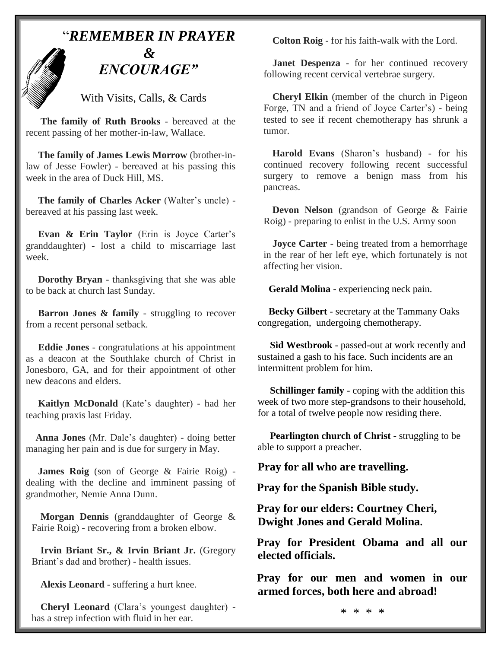

With Visits, Calls, & Cards

 **The family of Ruth Brooks** - bereaved at the recent passing of her mother-in-law, Wallace.

 **The family of James Lewis Morrow** (brother-inlaw of Jesse Fowler) - bereaved at his passing this week in the area of Duck Hill, MS.

 **The family of Charles Acker** (Walter's uncle) bereaved at his passing last week.

 **Evan & Erin Taylor** (Erin is Joyce Carter's granddaughter) - lost a child to miscarriage last week.

 **Dorothy Bryan** - thanksgiving that she was able to be back at church last Sunday.

**Barron Jones & family** - struggling to recover from a recent personal setback.

 **Eddie Jones** - congratulations at his appointment as a deacon at the Southlake church of Christ in Jonesboro, GA, and for their appointment of other new deacons and elders.

 **Kaitlyn McDonald** (Kate's daughter) - had her teaching praxis last Friday.

 **Anna Jones** (Mr. Dale's daughter) - doing better managing her pain and is due for surgery in May.

 **James Roig** (son of George & Fairie Roig) dealing with the decline and imminent passing of grandmother, Nemie Anna Dunn.

**Morgan Dennis** (granddaughter of George & Fairie Roig) - recovering from a broken elbow.

**Irvin Briant Sr., & Irvin Briant Jr.** (Gregory Briant's dad and brother) - health issues.

**Alexis Leonard** - suffering a hurt knee.

**Cheryl Leonard** (Clara's youngest daughter) has a strep infection with fluid in her ear.

**Colton Roig** - for his faith-walk with the Lord.

**Janet Despenza** - for her continued recovery following recent cervical vertebrae surgery.

**Cheryl Elkin** (member of the church in Pigeon Forge, TN and a friend of Joyce Carter's) - being tested to see if recent chemotherapy has shrunk a tumor.

**Harold Evans** (Sharon's husband) - for his continued recovery following recent successful surgery to remove a benign mass from his pancreas.

**Devon Nelson** (grandson of George & Fairie Roig) - preparing to enlist in the U.S. Army soon

**Joyce Carter** - being treated from a hemorrhage in the rear of her left eye, which fortunately is not affecting her vision.

 **Gerald Molina** - experiencing neck pain.

 **Becky Gilbert** - secretary at the Tammany Oaks congregation, undergoing chemotherapy.

 **Sid Westbrook** - passed-out at work recently and sustained a gash to his face. Such incidents are an intermittent problem for him.

 **Schillinger family** - coping with the addition this week of two more step-grandsons to their household, for a total of twelve people now residing there.

 **Pearlington church of Christ** - struggling to be able to support a preacher.

**Pray for all who are travelling.**

**Pray for the Spanish Bible study.**

**Pray for our elders: Courtney Cheri, Dwight Jones and Gerald Molina.**

**Pray for President Obama and all our elected officials.**

**Pray for our men and women in our armed forces, both here and abroad!**

\* \* \* \*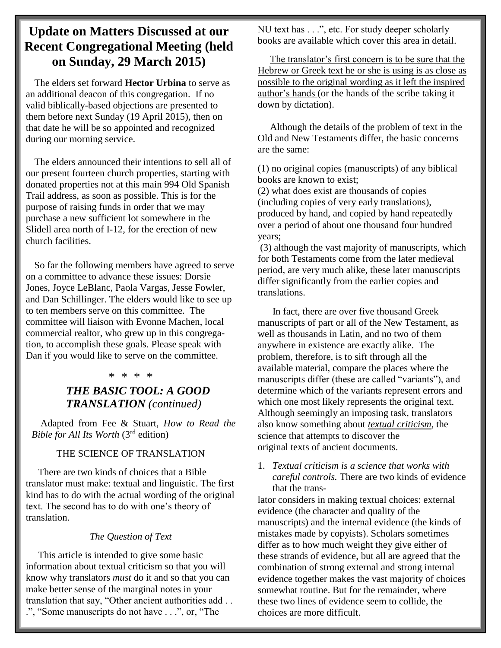### **Update on Matters Discussed at our Recent Congregational Meeting (held on Sunday, 29 March 2015)**

 The elders set forward **Hector Urbina** to serve as an additional deacon of this congregation. If no valid biblically-based objections are presented to them before next Sunday (19 April 2015), then on that date he will be so appointed and recognized during our morning service.

 The elders announced their intentions to sell all of our present fourteen church properties, starting with donated properties not at this main 994 Old Spanish Trail address, as soon as possible. This is for the purpose of raising funds in order that we may purchase a new sufficient lot somewhere in the Slidell area north of I-12, for the erection of new church facilities.

 So far the following members have agreed to serve on a committee to advance these issues: Dorsie Jones, Joyce LeBlanc, Paola Vargas, Jesse Fowler, and Dan Schillinger. The elders would like to see up to ten members serve on this committee. The committee will liaison with Evonne Machen, local commercial realtor, who grew up in this congregation, to accomplish these goals. Please speak with Dan if you would like to serve on the committee.

#### \* \* \* \*

### *THE BASIC TOOL: A GOOD TRANSLATION (continued)*

Adapted from Fee & Stuart, *How to Read the Bible for All Its Worth* (3rd edition)

#### THE SCIENCE OF TRANSLATION

 There are two kinds of choices that a Bible translator must make: textual and linguistic. The first kind has to do with the actual wording of the original text. The second has to do with one's theory of translation.

#### *The Question of Text*

 This article is intended to give some basic information about textual criticism so that you will know why translators *must* do it and so that you can make better sense of the marginal notes in your translation that say, "Other ancient authorities add . . .", "Some manuscripts do not have . . .", or, "The

NU text has . . .", etc. For study deeper scholarly books are available which cover this area in detail.

 The translator's first concern is to be sure that the Hebrew or Greek text he or she is using is as close as possible to the original wording as it left the inspired author's hands (or the hands of the scribe taking it down by dictation).

 Although the details of the problem of text in the Old and New Testaments differ, the basic concerns are the same:

(1) no original copies (manuscripts) of any biblical books are known to exist;

(2) what does exist are thousands of copies (including copies of very early translations), produced by hand, and copied by hand repeatedly over a period of about one thousand four hundred years;

(3) although the vast majority of manuscripts, which for both Testaments come from the later medieval period, are very much alike, these later manuscripts differ significantly from the earlier copies and translations.

 In fact, there are over five thousand Greek manuscripts of part or all of the New Testament, as well as thousands in Latin, and no two of them anywhere in existence are exactly alike. The problem, therefore, is to sift through all the available material, compare the places where the manuscripts differ (these are called "variants"), and determine which of the variants represent errors and which one most likely represents the original text. Although seemingly an imposing task, translators also know something about *textual criticism*, the science that attempts to discover the original texts of ancient documents.

1. *Textual criticism is a science that works with careful controls.* There are two kinds of evidence that the trans-

lator considers in making textual choices: external evidence (the character and quality of the manuscripts) and the internal evidence (the kinds of mistakes made by copyists). Scholars sometimes differ as to how much weight they give either of these strands of evidence, but all are agreed that the combination of strong external and strong internal evidence together makes the vast majority of choices somewhat routine. But for the remainder, where these two lines of evidence seem to collide, the choices are more difficult.